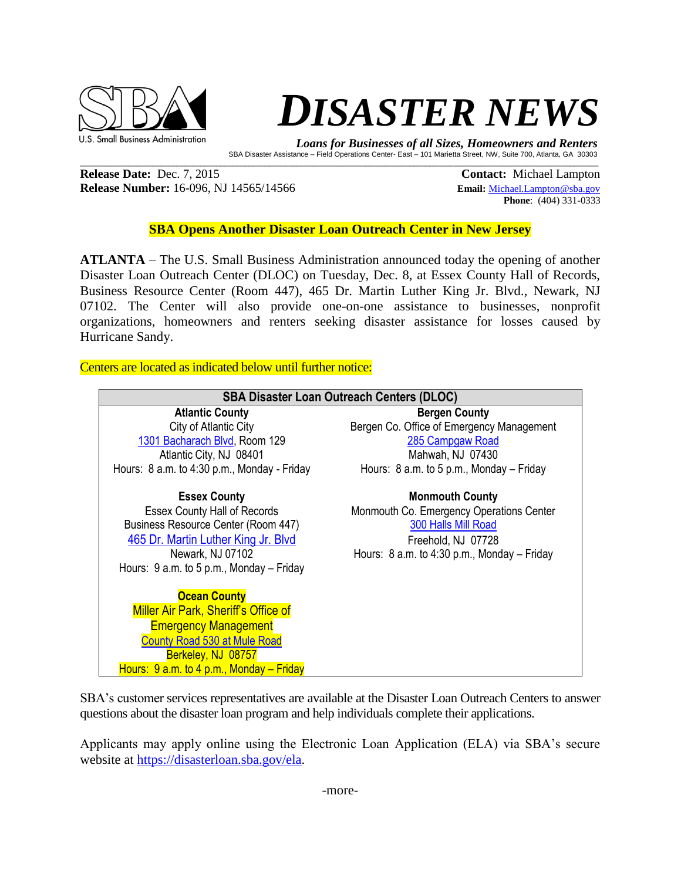

## **DISASTER NEWS**

 *Loans for Businesses of all Sizes, Homeowners and Renters*  SBA Disaster Assistance – Field Operations Center- East – 101 Marietta Street, NW, Suite 700, Atlanta, GA 30303

**Release Date:** Dec. 7, 2015 **Contact: Michael Lampton Release Number:** 16-096, NJ 14565/14566 **Email:** [Michael.Lampton@sba.gov](mailto:Michael.Lampton@sba.gov)

**Phone**: (404) 331-0333

## **SBA Opens Another Disaster Loan Outreach Center in New Jersey**

 $\mathcal{L}_\mathcal{L} = \mathcal{L}_\mathcal{L} = \mathcal{L}_\mathcal{L} = \mathcal{L}_\mathcal{L} = \mathcal{L}_\mathcal{L} = \mathcal{L}_\mathcal{L} = \mathcal{L}_\mathcal{L} = \mathcal{L}_\mathcal{L} = \mathcal{L}_\mathcal{L} = \mathcal{L}_\mathcal{L} = \mathcal{L}_\mathcal{L} = \mathcal{L}_\mathcal{L} = \mathcal{L}_\mathcal{L} = \mathcal{L}_\mathcal{L} = \mathcal{L}_\mathcal{L} = \mathcal{L}_\mathcal{L} = \mathcal{L}_\mathcal{L}$ 

**ATLANTA** – The U.S. Small Business Administration announced today the opening of another Disaster Loan Outreach Center (DLOC) on Tuesday, Dec. 8, at Essex County Hall of Records, Business Resource Center (Room 447), 465 Dr. Martin Luther King Jr. Blvd., Newark, NJ 07102. The Center will also provide one-on-one assistance to businesses, nonprofit organizations, homeowners and renters seeking disaster assistance for losses caused by Hurricane Sandy.

Centers are located as indicated below until further notice:

| <b>SBA Disaster Loan Outreach Centers (DLOC)</b> |                                              |
|--------------------------------------------------|----------------------------------------------|
| <b>Atlantic County</b>                           | <b>Bergen County</b>                         |
| City of Atlantic City                            | Bergen Co. Office of Emergency Management    |
| 1301 Bacharach Blvd, Room 129                    | 285 Campgaw Road                             |
| Atlantic City, NJ 08401                          | Mahwah, NJ 07430                             |
| Hours: 8 a.m. to 4:30 p.m., Monday - Friday      | Hours: $8$ a.m. to $5$ p.m., Monday – Friday |
| <b>Essex County</b>                              | <b>Monmouth County</b>                       |
| <b>Essex County Hall of Records</b>              | Monmouth Co. Emergency Operations Center     |
| Business Resource Center (Room 447)              | 300 Halls Mill Road                          |
| 465 Dr. Martin Luther King Jr. Blvd              | Freehold, NJ 07728                           |
| Newark, NJ 07102                                 | Hours: 8 a.m. to 4:30 p.m., Monday - Friday  |
| Hours: $9$ a.m. to $5$ p.m., Monday – Friday     |                                              |
| <b>Ocean County</b>                              |                                              |
| <b>Miller Air Park, Sheriff's Office of</b>      |                                              |
| <b>Emergency Management</b>                      |                                              |
| County Road 530 at Mule Road                     |                                              |
| Berkeley, NJ 08757                               |                                              |
| Hours: $9$ a.m. to 4 p.m., Monday – Friday       |                                              |

SBA's customer services representatives are available at the Disaster Loan Outreach Centers to answer questions about the disaster loan program and help individuals complete their applications.

Applicants may apply online using the Electronic Loan Application (ELA) via SBA's secure website at [https://disasterloan.sba.gov/ela.](https://disasterloan.sba.gov/ela)